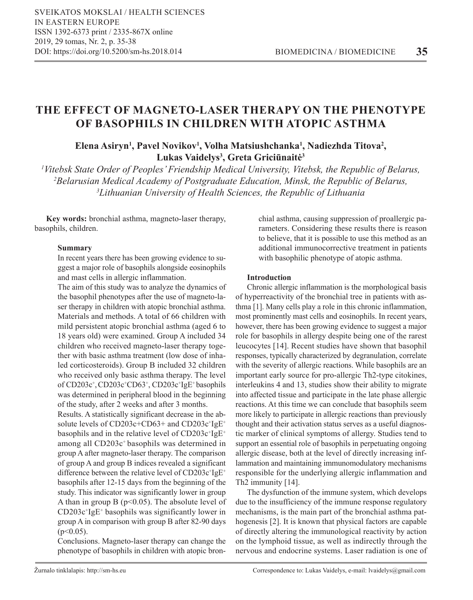# **THE EFFECT OF MAGNETO-LASER THERAPY ON THE PHENOTYPE OF BASOPHILS IN CHILDREN WITH ATOPIC ASTHMA**

## **Elena Asiryn<sup>1</sup> , Pavel Novikov1 , Volha Matsiushchanka1 , Nadiezhda Titova<sup>2</sup> , Lukas Vaidelys<sup>3</sup> , Greta Griciūnaitė<sup>3</sup>**

*1 Vitebsk State Order of Peoples' Friendship Medical University, Vitebsk, the Republic of Belarus, 2 Belarusian Medical Academy of Postgraduate Education, Minsk, the Republic of Belarus, 3 Lithuanian University of Health Sciences, the Republic of Lithuania*

**Key words:** bronchial asthma, magneto-laser therapy, basophils, children.

## **Summary**

In recent years there has been growing evidence to suggest a major role of basophils alongside eosinophils and mast cells in allergic inflammation.

The aim of this study was to analyze the dynamics of the basophil phenotypes after the use of magneto-laser therapy in children with atopic bronchial asthma. Materials and methods. A total of 66 children with mild persistent atopic bronchial asthma (aged 6 to 18 years old) were examined. Group A included 34 children who received magneto-laser therapy together with basic asthma treatment (low dose of inhaled corticosteroids). Group B included 32 children who received only basic asthma therapy. The level of CD203c<sup>+</sup>, CD203c<sup>+</sup>CD63<sup>+</sup>, CD203c<sup>+</sup>IgE<sup>+</sup> basophils was determined in peripheral blood in the beginning of the study, after 2 weeks and after 3 months.

Results. A statistically significant decrease in the absolute levels of CD203c+CD63+ and CD203c<sup>+</sup>IgE<sup>+</sup> basophils and in the relative level of CD203c+IgE+ among all CD203c<sup>+</sup> basophils was determined in group A after magneto-laser therapy. The comparison of group A and group B indices revealed a significant difference between the relative level of CD203c $^{\dagger}$ IgE $^{\dagger}$ basophils after 12-15 days from the beginning of the study. This indicator was significantly lower in group A than in group B ( $p<0.05$ ). The absolute level of  $CD203c$ <sup>+</sup>IgE<sup>+</sup> basophils was significantly lower in group A in comparison with group B after 82-90 days  $(p<0.05)$ .

Conclusions. Magneto-laser therapy can change the phenotype of basophils in children with atopic bronchial asthma, causing suppression of proallergic parameters. Considering these results there is reason to believe, that it is possible to use this method as an additional immunocorrective treatment in patients with basophilic phenotype of atopic asthma.

## **Introduction**

Chronic allergic inflammation is the morphological basis of hyperreactivity of the bronchial tree in patients with asthma [1]. Many cells play a role in this chronic inflammation, most prominently mast cells and eosinophils. In recent years, however, there has been growing evidence to suggest a major role for basophils in allergy despite being one of the rarest leucocytes [14]. Recent studies have shown that basophil responses, typically characterized by degranulation, correlate with the severity of allergic reactions. While basophils are an important early source for pro-allergic Th2-type citokines, interleukins 4 and 13, studies show their ability to migrate into affected tissue and participate in the late phase allergic reactions. At this time we can conclude that basophils seem more likely to participate in allergic reactions than previously thought and their activation status serves as a useful diagnostic marker of clinical symptoms of allergy. Studies tend to support an essential role of basophils in perpetuating ongoing allergic disease, both at the level of directly increasing inflammation and maintaining immunomodulatory mechanisms responsible for the underlying allergic inflammation and Th2 immunity [14].

The dysfunction of the immune system, which develops due to the insufficiency of the immune response regulatory mechanisms, is the main part of the bronchial asthma pathogenesis [2]. It is known that physical factors are capable of directly altering the immunological reactivity by action on the lymphoid tissue, as well as indirectly through the nervous and endocrine systems. Laser radiation is one of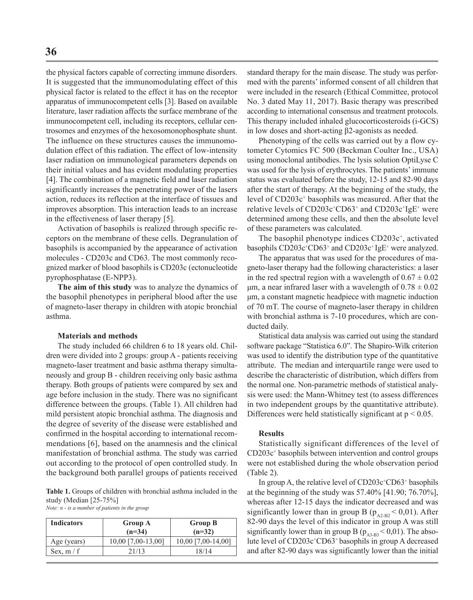the physical factors capable of correcting immune disorders. It is suggested that the immunomodulating effect of this physical factor is related to the effect it has on the receptor apparatus of immunocompetent cells [3]. Based on available literature, laser radiation affects the surface membrane of the immunocompetent cell, including its receptors, cellular centrosomes and enzymes of the hexosomonophosphate shunt. The influence on these structures causes the immunomodulation effect of this radiation. The effect of low-intensity laser radiation on immunological parameters depends on their initial values and has evident modulating properties [4]. The combination of a magnetic field and laser radiation significantly increases the penetrating power of the lasers action, reduces its reflection at the interface of tissues and improves absorption. This interaction leads to an increase in the effectiveness of laser therapy [5].

Activation of basophils is realized through specific receptors on the membrane of these cells. Degranulation of basophils is accompanied by the appearance of activation molecules - CD203c and CD63. The most commonly recognized marker of blood basophils is CD203c (ectonucleotide pyrophosphatase (E-NPP3).

**The aim of this study** was to analyze the dynamics of the basophil phenotypes in peripheral blood after the use of magneto-laser therapy in children with atopic bronchial asthma.

#### **Materials and methods**

The study included 66 children 6 to 18 years old. Children were divided into 2 groups: group A - patients receiving magneto-laser treatment and basic asthma therapy simultaneously and group B - children receiving only basic asthma therapy. Both groups of patients were compared by sex and age before inclusion in the study. There was no significant difference between the groups. (Table 1). All children had mild persistent atopic bronchial asthma. The diagnosis and the degree of severity of the disease were established and confirmed in the hospital according to international recommendations [6], based on the anamnesis and the clinical manifestation of bronchial asthma. The study was carried out according to the protocol of open controlled study. In the background both parallel groups of patients received

**Table 1.** Groups of children with bronchial asthma included in the study (Median [25-75%]

| Note: $n - is a number of patients in the group$ |  |
|--------------------------------------------------|--|
|--------------------------------------------------|--|

| <b>Indicators</b> | <b>Group A</b><br>$(n=34)$ | <b>Group B</b><br>$(n=32)$ |
|-------------------|----------------------------|----------------------------|
| Age (years)       | 10,00 [7,00-13,00]         | 10,00 [7,00-14,00]         |
| Sex, $m/f$        | 21/13                      | 18/14                      |

standard therapy for the main disease. The study was performed with the parents' informed consent of all children that were included in the research (Ethical Committee, protocol No. 3 dated May 11, 2017). Basic therapy was prescribed according to international consensus and treatment protocols. This therapy included inhaled glucocorticosteroids (i-GCS) in low doses and short-acting β2-agonists as needed.

Phenotyping of the cells was carried out by a flow cytometer Cytomics FC 500 (Beckman Coulter Inc., USA) using monoclonal antibodies. The lysis solution OptiLyse C was used for the lysis of erythrocytes. The patients' immune status was evaluated before the study, 12-15 and 82-90 days after the start of therapy. At the beginning of the study, the level of CD203c<sup>+</sup> basophils was measured. After that the relative levels of CD203c<sup>+</sup>CD63<sup>+</sup> and CD203c<sup>+</sup>IgE<sup>+</sup> were determined among these cells, and then the absolute level of these parameters was calculated.

The basophil phenotype indices CD203c<sup>+</sup>, activated basophils CD203c<sup>+</sup>CD63<sup>+</sup> and CD203c<sup>+</sup> IgE<sup>+</sup> were analyzed.

The apparatus that was used for the procedures of magneto-laser therapy had the following characteristics: a laser in the red spectral region with a wavelength of  $0.67 \pm 0.02$ μm, a near infrared laser with a wavelength of  $0.78 \pm 0.02$ μm, a constant magnetic headpiece with magnetic induction of 70 mT. The course of magneto-laser therapy in children with bronchial asthma is 7-10 procedures, which are conducted daily.

Statistical data analysis was carried out using the standard software package "Statistica 6.0". The Shapiro-Wilk criterion was used to identify the distribution type of the quantitative attribute. The median and interquartile range were used to describe the characteristic of distribution, which differs from the normal one. Non-parametric methods of statistical analysis were used: the Mann-Whitney test (to assess differences in two independent groups by the quantitative attribute). Differences were held statistically significant at  $p < 0.05$ .

#### **Results**

Statistically significant differences of the level of CD203c<sup>+</sup> basophils between intervention and control groups were not established during the whole observation period (Table 2).

In group A, the relative level of  $CD203c^{\dagger}CD63^{\dagger}$  basophils at the beginning of the study was 57.40% [41.90; 76.70%], whereas after 12-15 days the indicator decreased and was significantly lower than in group B ( $p_{A2-B2} < 0.01$ ). After 82-90 days the level of this indicator in group A was still significantly lower than in group B ( $p_{A3,B3}$  < 0,01). The absolute level of CD203c<sup>+</sup>CD63<sup>+</sup> basophils in group A decreased and after 82-90 days was significantly lower than the initial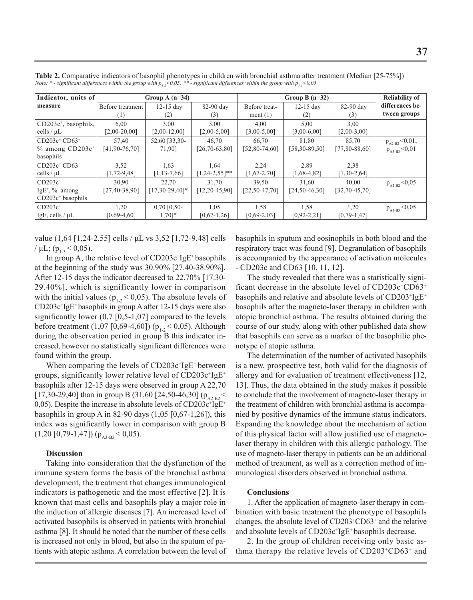| Indicator, units of              | Group A $(n=34)$    |                     |                      | Group B $(n=32)$    |                     |                     | <b>Reliability of</b> |
|----------------------------------|---------------------|---------------------|----------------------|---------------------|---------------------|---------------------|-----------------------|
| measure                          | Before treatment    | $12-15$ day         | 82-90 day            | Before treat-       | $12-15$ day         | 82-90 day           | differences be-       |
|                                  | (1)                 | (2)                 | (3)                  | ment $(1)$          | (2)                 | (3)                 | tween groups          |
| $CD203c^+$ , basophils,          | 6,00                | 3.00                | 3,00                 | 4,00                | 5,00                | 3,00                |                       |
| cells $/\mu L$                   | $[2,00-20,00]$      | $[2,00-12,00]$      | $[2,00-5,00]$        | $[3,00-5,00]$       | $[3,00-6,00]$       | $[2,00-3,00]$       |                       |
| $CD203c^+CD63^+$                 | 57.40               | 52,60 [33,30-       | 46.70                | 66.70               | 81.80               | 85.70               | $p_{A2-B2}$ < 0,01;   |
| $%$ among CD203 $c$ <sup>+</sup> | $[41, 90 - 76, 70]$ | 71,90]              | $[26, 70-63, 80]$    | $[52,80-74,60]$     | $[58, 30 - 89, 50]$ | [77,80-88,60]       | $p_{A3-B3} < 0.01$    |
| basophils                        |                     |                     |                      |                     |                     |                     |                       |
| $CD203c^{\dagger}CD63^{\dagger}$ | 3,52                | 1.63                | 1.64                 | 2.24                | 2.89                | 2.38                |                       |
| cells $/\mu L$                   | $[1, 72-9, 48]$     | $[1, 13-7, 66]$     | $[1, 24 - 2, 55]$ ** | $[1,67-2,70]$       | $[1,68-4,82]$       | $[1,30-2,64]$       |                       |
| $CD203c+$                        | 30.90               | 22.70               | 31.70                | 39.50               | 31.60               | 40.00               | $p_{A2-B2} < 0.05$    |
| $IgE^+$ , % among                | $[27, 40-38, 90]$   | $[17,30-29,40]$ *   | $[12, 20 - 45, 90]$  | $[22, 50 - 47, 70]$ | $[24, 50 - 46, 30]$ | $[32, 70 - 45, 70]$ |                       |
| $CD203c+$ basophils              |                     |                     |                      |                     |                     |                     |                       |
| $CD203c+$                        | 1.70                | $0,70$ [0,50-       | 1,05                 | 1,58                | 1,58                | 1.20                | $p_{A3-B3}$ < 0,05    |
| IgE, cells / $\mu$ L             | $[0,69-4,60]$       | $1,70$ <sup>*</sup> | $[0,67-1,26]$        | $[0,69-2,03]$       | $[0, 92 - 2, 21]$   | $[0, 79-1, 47]$     |                       |

**Table 2.** Comparative indicators of basophil phenotypes in children with bronchial asthma after treatment (Median [25-75%]) *Note: \* - significant differences within the group with*  $p_{1,2} < 0.05$ *; \*\* - significant differences within the group with*  $p_{1,2} < 0.05$ 

value (1,64 [1,24-2,55] cells / μL vs 3,52 [1,72-9,48] cells /  $\mu$ L; (p<sub>1-3</sub> < 0,05).

In group A, the relative level of  $CD203c$ <sup>+</sup>IgE<sup>+</sup> basophils at the beginning of the study was 30.90% [27.40-38.90%]. After 12-15 days the indicator decreased to 22.70% [17.30- 29.40%], which is significantly lower in comparison with the initial values ( $p_{1,2} < 0.05$ ). The absolute levels of CD203с<sup>+</sup> IgE+ basophils in group A after 12-15 days were also significantly lower  $(0,7 \, [0,5-1,07]$  compared to the levels before treatment  $(1,07 \ [0,69-4,60])$  ( $p_{1,2} < 0,05$ ). Although during the observation period in group B this indicator increased, however no statistically significant differences were found within the group.

When comparing the levels of  $CD203c$ <sup>+</sup>IgE<sup>+</sup> between groups, significantly lower relative level of  $\mathrm{CD203c^{\text{*}}IgE^{\text{*}}}$ basophils after 12-15 days were observed in group A 22,70 [17,30-29,40] than in group B (31,60 [24,50-46,30] ( $p_{A2-B2}$  < 0,05). Despite the increase in absolute levels of  $CD203c^{+}lgE^{+}$ basophils in group A in 82-90 days (1,05 [0,67-1,26]), this index was significantly lower in comparison with group B  $(1,20 [0,79-1,47]) (p_{A3-B3} < 0,05).$ 

#### **Discussion**

Taking into consideration that the dysfunction of the immune system forms the basis of the bronchial asthma development, the treatment that changes immunological indicators is pathogenetic and the most effective [2]. It is known that mast cells and basophils play a major role in the induction of allergic diseases [7]. An increased level of activated basophils is observed in patients with bronchial asthma [8]. It should be noted that the number of these cells is increased not only in blood, but also in the sputum of patients with atopic asthma. A correlation between the level of basophils in sputum and eosinophils in both blood and the respiratory tract was found [9]. Degranulation of basophils is accompanied by the appearance of activation molecules - CD203c and CD63 [10, 11, 12].

The study revealed that there was a statistically significant decrease in the absolute level of CD203c+CD63+ basophils and relative and absolute levels of  $CD203^+ 1gE^+$ basophils after the magneto-laser therapy in children with atopic bronchial asthma. Тhe results obtained during the course of our study, along with other published data show that basophils can serve as a marker of the basophilic phenotype of atopic asthma.

The determination of the number of activated basophils is a new, prospective test, both valid for the diagnosis of allergy and for evaluation of treatment effectiveness [12, 13]. Thus, the data obtained in the study makes it possible to conclude that the involvement of magneto-laser therapy in the treatment of children with bronchial asthma is accompanied by positive dynamics of the immune status indicators. Expanding the knowledge about the mechanism of action of this physical factor will allow justified use of magnetolaser therapy in children with this allergic pathology. The use of magneto-laser therapy in patients can be an additional method of treatment, as well as a correction method of immunological disorders observed in bronchial asthma.

#### **Conclusions**

1. After the application of magneto-laser therapy in combination with basic treatment the phenotype of basophils changes, the absolute level of CD203<sup>+</sup> CD63<sup>+</sup> and the relative and absolute levels of CD203c<sup>+</sup>IgE<sup>+</sup> basophils decrease.

2. In the group of children receiving only basic asthma therapy the relative levels of CD203<sup>+</sup>CD63+ and